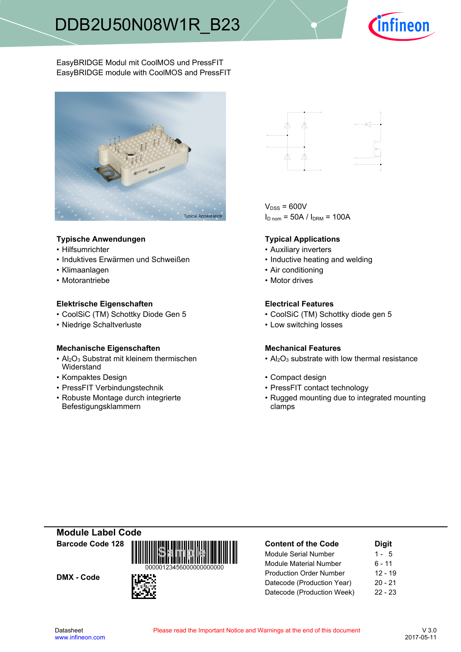

EasyBRIDGE Modul mit CoolMOS und PressFIT EasyBRIDGE module with CoolMOS and PressFIT



### **Typische-Anwendungen Typical-**

- Hilfsumrichter
- Induktives Erwärmen und
- Klimaanlagen
- Motorantriebe

### **Elektrische Eigenschaften Electrical-**

- CoolSiC (TM) Schottky Diode Gen
- Niedrige-Schaltverluste Low-

### **Mechanische Eigenschaften Mechanical-**

- $\cdot$  Al<sub>2</sub>O<sub>3</sub> Substrat mit kleinem thermischen **Widerstand**
- Kompaktes Design
- PressFIT Verbindungstechnik PressFIT
- Robuste Montage durch integrierte Befestigungsklammern



 $V<sub>DSS</sub> = 600V$  $I<sub>D nom</sub> = 50A / I<sub>DRM</sub> = 100A$ 

### **Typical Applications**

- Auxiliary inverters
- Schweißen  **Inductive heating and welding** 
	- Air conditioning
	- Motor drives

#### **Electrical Features**

- 5 CoolSiC (TM) Schottky diode gen 5
	- switching losses

### **Mechanical Features**

- $Al_2O_3$  substrate with low thermal resistance
- Design **begins and the Compact design Compact design** 
	- contact technology
	- Rugged mounting due to integrated mounting clamps

**Module-Label-Code Barcode-Code-128**

DMX - Code



| <b>Content of the Code</b>     | <b>Digit</b> |
|--------------------------------|--------------|
| <b>Module Serial Number</b>    | $1 - 5$      |
| <b>Module Material Number</b>  | 6 - 11       |
| <b>Production Order Number</b> | $12 - 19$    |
| Datecode (Production Year)     | $20 - 21$    |
| Datecode (Production Week)     | $22 - 23$    |
|                                |              |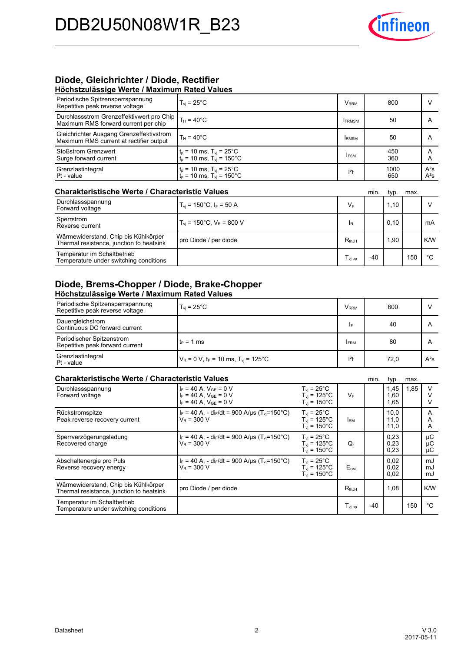

# **Diode, Gleichrichter / Diode, Rectifier**

| Höchstzulässige Werte / Maximum Rated Values                                        |                                                                                   |               |             |                  |  |  |  |  |
|-------------------------------------------------------------------------------------|-----------------------------------------------------------------------------------|---------------|-------------|------------------|--|--|--|--|
| Periodische Spitzensperrspannung<br>Repetitive peak reverse voltage                 | $T_{\rm vi}$ = 25 $^{\circ}$ C                                                    | Vrrm          | 800         |                  |  |  |  |  |
| Durchlassstrom Grenzeffektivwert pro Chip<br>Maximum RMS forward current per chip   | $T_H = 40^{\circ}$ C                                                              | <b>IFRMSM</b> | 50          | А                |  |  |  |  |
| Gleichrichter Ausgang Grenzeffektivstrom<br>Maximum RMS current at rectifier output | $T_H = 40^{\circ}$ C                                                              | <b>IRMSM</b>  | 50          | А                |  |  |  |  |
| Stoßstrom Grenzwert<br>Surge forward current                                        | $t_p = 10$ ms, $T_{vj} = 25^{\circ}$ C<br>$t_p = 10$ ms, $T_{vj} = 150^{\circ}$ C | <b>IFSM</b>   | 450<br>360  | A                |  |  |  |  |
| Grenzlastintegral<br>$l2$ t - value                                                 | $t_p = 10$ ms, $T_{vj} = 25^{\circ}$ C<br>$t_p = 10$ ms, $T_{vj} = 150^{\circ}$ C | $l2$ t        | 1000<br>650 | $A^2S$<br>$A^2S$ |  |  |  |  |

#### **Charakteristische Werte / Characteristic**

| <b>Charakteristische Werte / Characteristic Values</b>                           |                                           |                    | min.  | typ. | max. |     |
|----------------------------------------------------------------------------------|-------------------------------------------|--------------------|-------|------|------|-----|
| Durchlassspannung<br>Forward voltage                                             | $T_{\rm vi}$ = 150°C, $I_{\rm F}$ = 50 A  | $V_F$              |       | 1.10 |      |     |
| Sperrstrom<br>Reverse current                                                    | $T_{\rm vi}$ = 150°C, $V_{\rm R}$ = 800 V | IR.                |       | 0,10 |      | mA  |
| Wärmewiderstand, Chip bis Kühlkörper<br>Thermal resistance, junction to heatsink | pro Diode / per diode                     | $R_{thJH}$         |       | 1.90 |      | K/W |
| Temperatur im Schaltbetrieb<br>Temperature under switching conditions            |                                           | $I_{\text{vi op}}$ | $-40$ |      | 150  | °C  |

### **Diode, Brems-Chopper / Diode, Brake-Chopper Höchstzulässige-Werte-/-Maximum-Rated-Values**

| Periodische Spitzensperrspannung<br>Repetitive peak reverse voltage | $T_{vi}$ = 25 $^{\circ}$ C                                   | <b>V</b> <sub>RRM</sub> | 600  |        |
|---------------------------------------------------------------------|--------------------------------------------------------------|-------------------------|------|--------|
| Dauergleichstrom<br>Continuous DC forward current                   |                                                              | I۴                      | 40   |        |
| Periodischer Spitzenstrom<br>Repetitive peak forward current        | It <sub>P</sub> = 1 ms                                       | <b>FRM</b>              | 80   |        |
| Grenzlastintegral<br>$l2t$ - value                                  | $V_R$ = 0 V, t <sub>P</sub> = 10 ms, T <sub>vi</sub> = 125°C | $ ^{2}t$                | 72,0 | $A^2S$ |

### **Charakteristische Werte / Characteristic**

| <b>Charakteristische Werte / Characteristic Values</b><br>min.                   |                                                                                                 |                                                                                   |                                         |       |                      | max. |                |
|----------------------------------------------------------------------------------|-------------------------------------------------------------------------------------------------|-----------------------------------------------------------------------------------|-----------------------------------------|-------|----------------------|------|----------------|
| Durchlassspannung<br>Forward voltage                                             | $I_F = 40 A$ , $V_{GF} = 0 V$<br>$I_F = 40 A$ . $V_{GF} = 0 V$<br>$I_F = 40 A$ . $V_{GF} = 0 V$ | $T_{vi}$ = 25°C<br>$T_{vi}$ = 125°C<br>$T_{\text{vi}}$ = 150 $^{\circ}$ C         | VF                                      |       | 1,45<br>1,60<br>1.65 | 1,85 | v              |
| Rückstromspitze<br>Peak reverse recovery current                                 | $I_F = 40$ A, - dir/dt = 900 A/us (T <sub>vi</sub> =150°C)<br>$V_R = 300 V$                     | $T_{vi}$ = 25 $^{\circ}$ C<br>$T_{\rm vi}$ = 125°C<br>$T_{vi}$ = 150 $^{\circ}$ C | <b>IRM</b>                              |       | 10,0<br>11,0<br>11,0 |      | A<br>A<br>A    |
| Sperrverzögerungsladung<br>Recovered charge                                      | $I_F = 40$ A, - di <sub>F</sub> /dt = 900 A/us (T <sub>vi</sub> =150°C)<br>$V_R = 300 V$        | $T_{vi}$ = 25°C<br>$T_{\rm vi}$ = 125°C.<br>$T_{vi}$ = 150 $^{\circ}$ C           | Q,                                      |       | 0,23<br>0,23<br>0,23 |      | μC<br>μC<br>μC |
| Abschaltenergie pro Puls<br>Reverse recovery energy                              | $I_F = 40$ A, - di <sub>F</sub> /dt = 900 A/us (T <sub>vi</sub> =150°C)<br>$V_R = 300 V$        | $T_{vi}$ = 25°C<br>$T_{vi}$ = 125°C<br>$T_{\rm vj}$ = 150 $^{\circ}$ C            | $E_{rec}$                               |       | 0.02<br>0,02<br>0.02 |      | mJ<br>mJ<br>mJ |
| Wärmewiderstand, Chip bis Kühlkörper<br>Thermal resistance, junction to heatsink | pro Diode / per diode                                                                           |                                                                                   | $R_{thJH}$                              |       | 1,08                 |      | K/W            |
| Temperatur im Schaltbetrieb<br>Temperature under switching conditions            |                                                                                                 |                                                                                   | $\mathsf{T}_{\mathsf{vj}\,\mathsf{op}}$ | $-40$ |                      | 150  | °C             |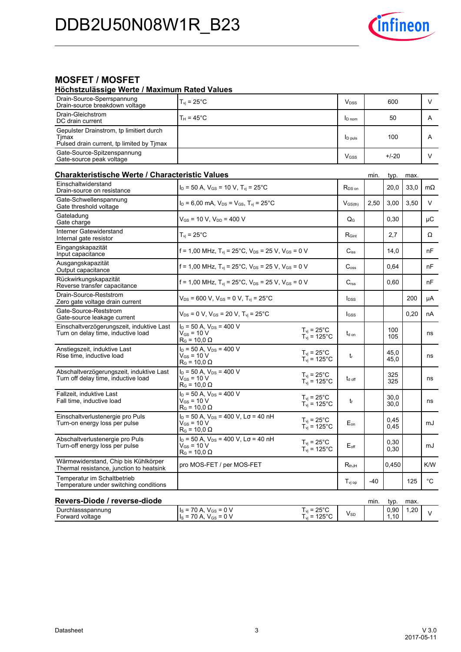

# **MOSFET / MOSFET**

#### **Höchstzulässige-Werte-/-Maximum-Rated-Values**

| Drain-Source-Sperrspannung<br>Drain-source breakdown voltage                                   | $T_{\rm vj}$ = 25°C                                                                              |                                                    | <b>V</b> <sub>DSS</sub>   |      | 600          |      | V            |
|------------------------------------------------------------------------------------------------|--------------------------------------------------------------------------------------------------|----------------------------------------------------|---------------------------|------|--------------|------|--------------|
| Drain-Gleichstrom<br>DC drain current                                                          | $T_H = 45^{\circ}$ C                                                                             |                                                    | <b>I</b> D nom            |      | 50           |      | A            |
| Gepulster Drainstrom, tp limitiert durch<br>Timax<br>Pulsed drain current, tp limited by Tjmax |                                                                                                  |                                                    | <b>ID</b> puls            |      | 100          |      | A            |
| Gate-Source-Spitzenspannung<br>Gate-source peak voltage                                        |                                                                                                  |                                                    | V <sub>GSS</sub>          |      | $+/-20$      |      | V            |
| Charakteristische Werte / Characteristic Values                                                |                                                                                                  |                                                    |                           | min. | typ.         | max. |              |
| Einschaltwiderstand<br>Drain-source on resistance                                              | $I_D = 50$ A, $V_{GS} = 10$ V, $T_{vi} = 25$ °C                                                  |                                                    | R <sub>DS on</sub>        |      | 20,0         | 33,0 | $m\Omega$    |
| Gate-Schwellenspannung<br>Gate threshold voltage                                               | $I_D = 6,00$ mA, $V_{DS} = V_{GS}$ , $T_{vi} = 25^{\circ}$ C                                     |                                                    | $V$ <sub>GS(th)</sub>     | 2,50 | 3,00         | 3,50 | V            |
| Gateladung<br>Gate charge                                                                      | $V_{GS}$ = 10 V, $V_{DD}$ = 400 V                                                                |                                                    | $\mathsf{Q}_{\mathsf{G}}$ |      | 0,30         |      | μC           |
| Interner Gatewiderstand<br>Internal gate resistor                                              | $T_{vi}$ = 25 $^{\circ}$ C                                                                       |                                                    | R <sub>Gint</sub>         |      | 2,7          |      | Ω            |
| Eingangskapazität<br>Input capacitance                                                         | f = 1,00 MHz, $T_{vi}$ = 25°C, $V_{DS}$ = 25 V, $V_{GS}$ = 0 V                                   |                                                    | $C_{iss}$                 |      | 14,0         |      | nF           |
| Ausgangskapazität<br>Output capacitance                                                        | f = 1,00 MHz, $T_{vi}$ = 25°C, $V_{DS}$ = 25 V, $V_{GS}$ = 0 V                                   |                                                    | C <sub>oss</sub>          |      | 0.64         |      | nF           |
| Rückwirkungskapazität<br>Reverse transfer capacitance                                          | f = 1,00 MHz, $T_{vj}$ = 25°C, $V_{DS}$ = 25 V, $V_{GS}$ = 0 V                                   |                                                    | $C_{\text{rss}}$          |      | 0,60         |      | nF           |
| Drain-Source-Reststrom<br>Zero gate voltage drain current                                      | $V_{DS}$ = 600 V, V <sub>GS</sub> = 0 V, T <sub>vi</sub> = 25 <sup>°</sup> C                     |                                                    | $I_{DSS}$                 |      |              | 200  | μA           |
| Gate-Source-Reststrom<br>Gate-source leakage current                                           | $V_{DS}$ = 0 V, V <sub>GS</sub> = 20 V, T <sub>vi</sub> = 25 <sup>°</sup> C                      |                                                    | l <sub>GSS</sub>          |      |              | 0,20 | nA           |
| Einschaltverzögerungszeit, induktive Last<br>Turn on delay time, inductive load                | $I_D$ = 50 A, $V_{DS}$ = 400 V<br>$V_{GS}$ = 10 V<br>$R_G$ = 10,0 $\Omega$                       | $T_{vj} = 25^{\circ}C$<br>$T_{vj} = 125^{\circ}C$  | $t_{\text{d} \text{ on}}$ |      | 100<br>105   |      | ns           |
| Anstiegszeit, induktive Last<br>Rise time, inductive load                                      | $I_D = 50 A$ , $V_{DS} = 400 V$<br>$V_{GS}$ = 10 V<br>$R_G$ = 10,0 $\Omega$                      | $T_{\rm vj}$ = 25°C<br>$T_{\text{vj}}$ = 125°C     | $t_{r}$                   |      | 45,0<br>45,0 |      | ns           |
| Abschaltverzögerungszeit, induktive Last<br>Turn off delay time, inductive load                | $I_D = 50$ A, $V_{DS} = 400$ V<br>$V_{GS}$ = 10 V<br>$R_G$ = 10,0 $\Omega$                       | $T_{\rm vj}$ = 25°C<br>$T_{vi}$ = 125°C            | t <sub>d off</sub>        |      | 325<br>325   |      | ns           |
| Fallzeit, induktive Last<br>Fall time, inductive load                                          | $I_D$ = 50 A, $V_{DS}$ = 400 V<br>$V_{GS}$ = 10 V<br>$R_G$ = 10,0 $\Omega$                       | $T_{\rm vi}$ = 25°C<br>$T_{\text{vj}}$ = 125°C     | t                         |      | 30,0<br>30,0 |      | ns           |
| Einschaltverlustenergie pro Puls<br>Turn-on energy loss per pulse                              | $I_D = 50$ A, $V_{DS} = 400$ V, $L_{\sigma} = 40$ nH<br>$V_{GS}$ = 10 V<br>$R_G$ = 10,0 $\Omega$ | $T_{\rm vj}$ = 25°C<br>$T_{\text{vj}}$ = 125°C     | $E_{on}$                  |      | 0,45<br>0.45 |      | mJ           |
| Abschaltverlustenergie pro Puls<br>Turn-off energy loss per pulse                              | $I_D = 50$ A, $V_{DS} = 400$ V, $L\sigma = 40$ nH<br>$V_{GS}$ = 10 V<br>$R_G$ = 10,0 $\Omega$    | $T_{\rm vj}$ = 25 $^{\circ}$ C<br>$T_{vi}$ = 125°C | $E_{\text{off}}$          |      | 0,30<br>0,30 |      | mJ           |
| Wärmewiderstand, Chip bis Kühlkörper<br>Thermal resistance, junction to heatsink               | pro MOS-FET / per MOS-FET                                                                        |                                                    | $R_{thJH}$                |      | 0.450        |      | K/W          |
| Temperatur im Schaltbetrieb<br>Temperature under switching conditions                          |                                                                                                  |                                                    | $T_{\rm vj\,op}$          | -40  |              | 125  | $^{\circ}$ C |
| Revers-Diode / reverse-diode                                                                   |                                                                                                  |                                                    |                           | min. | typ.         | max. |              |
| Durchlassspannung<br>Forward voltage                                                           | $I_S = 70 A, V_{GS} = 0 V$<br>$I_s = 70 A, V_{GS} = 0 V$                                         | $T_{vi}$ = 25°C<br>$T_{vi}$ = 125°C                | $V_{SD}$                  |      | 0,90<br>1,10 | 1,20 | V            |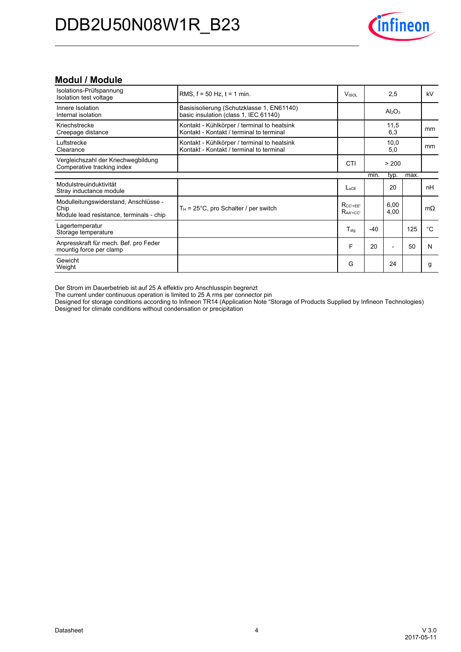

### **Modul-/-Module**

| Isolations-Prüfspannung<br>Isolation test voltage                                         | RMS, $f = 50$ Hz, $t = 1$ min.                                                          | Visol                     |       | 2,5                            |      | kV        |
|-------------------------------------------------------------------------------------------|-----------------------------------------------------------------------------------------|---------------------------|-------|--------------------------------|------|-----------|
| Innere Isolation<br>Internal isolation                                                    | Basisisolierung (Schutzklasse 1, EN61140)<br>basic insulation (class 1, IEC 61140)      |                           |       | Al <sub>2</sub> O <sub>3</sub> |      |           |
| Kriechstrecke<br>Creepage distance                                                        | Kontakt - Kühlkörper / terminal to heatsink<br>Kontakt - Kontakt / terminal to terminal |                           |       | 11,5<br>6,3                    |      | mm        |
| Luftstrecke<br>Clearance                                                                  | Kontakt - Kühlkörper / terminal to heatsink<br>Kontakt - Kontakt / terminal to terminal |                           |       | 10,0<br>5,0                    |      | mm        |
| Vergleichszahl der Kriechwegbildung<br>Comperative tracking index                         |                                                                                         | CTI                       |       | > 200                          |      |           |
|                                                                                           |                                                                                         |                           | min.  | typ.                           | max. |           |
| Modulstreuinduktivität<br>Stray inductance module                                         |                                                                                         | L <sub>sCF</sub>          |       | 20                             |      | nH        |
| Modulleitungswiderstand, Anschlüsse -<br>Chip<br>Module lead resistance, terminals - chip | $T_H$ = 25°C, pro Schalter / per switch                                                 | $R_{CC'+EE'}$<br>$RAA+CC$ |       | 6.00<br>4,00                   |      | $m\Omega$ |
| Lagertemperatur<br>Storage temperature                                                    |                                                                                         | $T_{\text{stq}}$          | $-40$ |                                | 125  | °C        |
| Anpresskraft für mech. Bef. pro Feder<br>mountig force per clamp                          |                                                                                         | F                         | 20    | $\overline{\phantom{0}}$       | 50   | N         |
| Gewicht<br>Weight                                                                         |                                                                                         | G                         |       | 24                             |      | g         |

Der Strom im Dauerbetrieb ist auf 25 A effektiv pro Anschlusspin begrenzt

The current under continuous operation is limited to 25 A rms per connector pin

Designed for storage conditions according to Infineon TR14 (Application Note "Storage of Products Supplied by Infineon Technologies) Designed for climate conditions without condensation or precipitation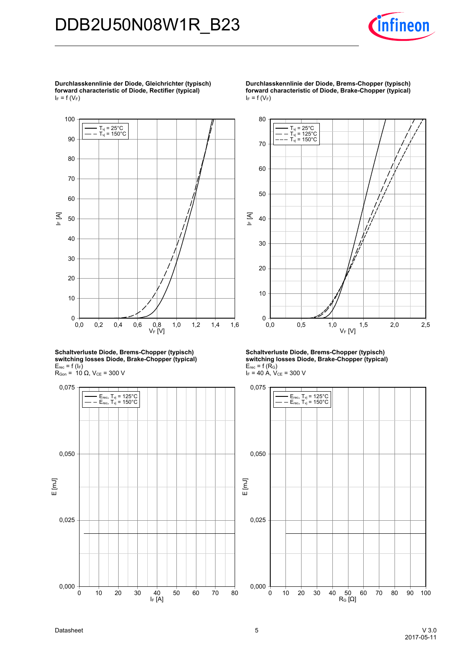

**Durchlasskennlinie-der-Diode,-Gleichrichter-(typisch) forward-characteristic-of-Diode,-Rectifier-(typical)**  $I_F = f(V_F)$ 



**Schaltverluste-Diode,-Brems-Chopper-(typisch) switching-losses-Diode,-Brake-Chopper-(typical)**  $E_{rec}$  = f ( $I_F$ )  $R_{Gon}$  = 10 Ω,  $V_{CE}$  = 300 V



**Durchlasskennlinie der Diode, Brems-Chopper (typisch) forward-characteristic-of-Diode,-Brake-Chopper-(typical)**  $I_F = f(V_F)$ 



**Schaltverluste-Diode,-Brems-Chopper-(typisch) switching-losses-Diode,-Brake-Chopper-(typical)**  $E_{rec}$  = f (R<sub>G</sub>)  $I_F = 40$  A,  $V_{CE} = 300$  V

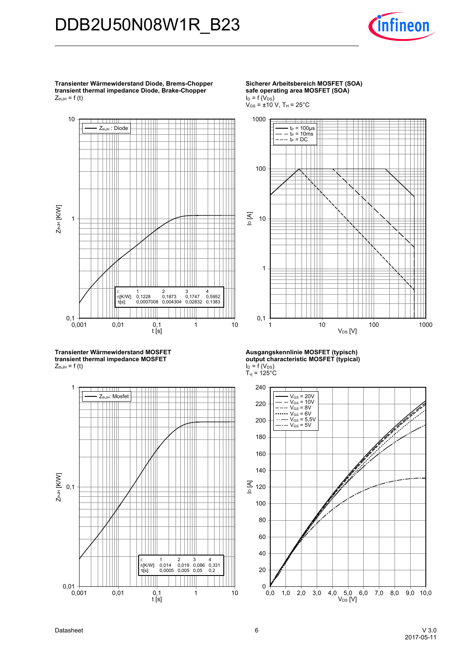

**Transienter-Wärmewiderstand-Diode,-Brems-Choppertransient thermal impedance Diode, Brake-Chopper**  $Z_{thJH}$  = f (t)



**Transienter-Wärmewiderstand-MOSFETtransient thermal impedance MOSFET**  $Z_{thJH}$  = f (t)



**Sicherer-Arbeitsbereich-MOSFET-(SOA) safe-operating-area-MOSFET-(SOA)**  $I_D = f(V_{DS})$ 

 $V_{GS}$  = ±10 V, T<sub>H</sub> = 25°C



**Ausgangskennlinie-MOSFET-(typisch) output-characteristic-MOSFET-(typical)**  $I_D = f(V_{DS})$  $T_{\rm vj}$  = 125°C



Datasheet 6 V-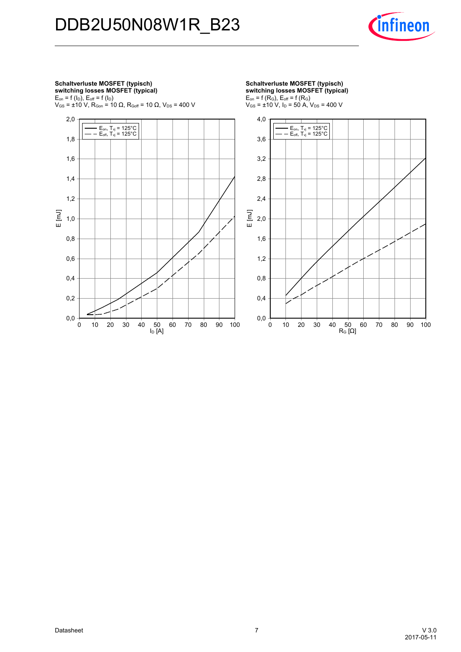

#### **Schaltverluste-MOSFET-(typisch) switching-losses-MOSFET-(typical)**  $E_{on}$  = f ( $I_D$ ),  $E_{off}$  = f ( $I_D$ )  $\rm V_{GS}$  = ±10 V, R $\rm_{Gon}$  = 10  $\Omega$ , R $\rm_{Goff}$  = 10  $\Omega$ , V $\rm_{DS}$  = 400 V

 $I_D$  [A] E [mJ] 0 10 20 30 40 50 60 70 80 90 100 0,0 0,2 0,4 0,6 0,8 1,0 1,2 1,4 1,6 1,8 2,0 E<sub>on</sub>, T<sub>vj</sub> = 125°C<br>E<sub>off,</sub> T<sub>vj</sub> = 125°C

**Schaltverluste-MOSFET-(typisch) switching-losses-MOSFET-(typical)**  $E_{on}$  = f (R<sub>G</sub>),  $E_{off}$  = f (R<sub>G</sub>)

 $V_{GS}$  =  $\pm$ 10 V, I<sub>D</sub> = 50 A, V<sub>DS</sub> = 400 V

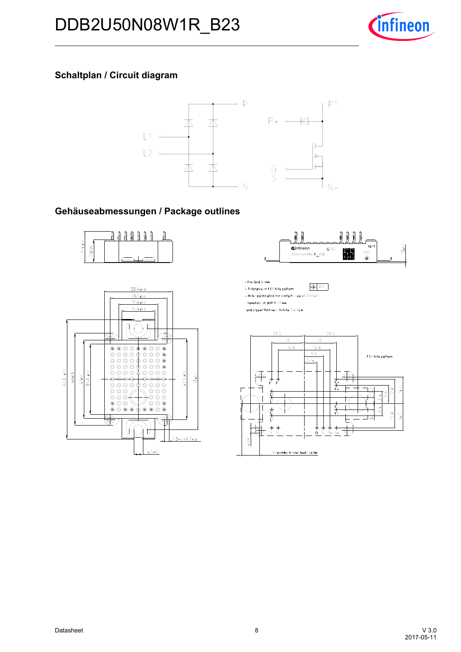

## **Schaltplan / Circuit diagram**



### Gehäuseabmessungen / Package outlines







- Pin-Grid 3.2mm - Tolerance of PCB hole pattern

 $\Theta$  \$0.1 - Hole specification for contacts see AN 2009-01:

Diameters of drill Ø 1.15mm

and copper thickness in hole 25-50pm